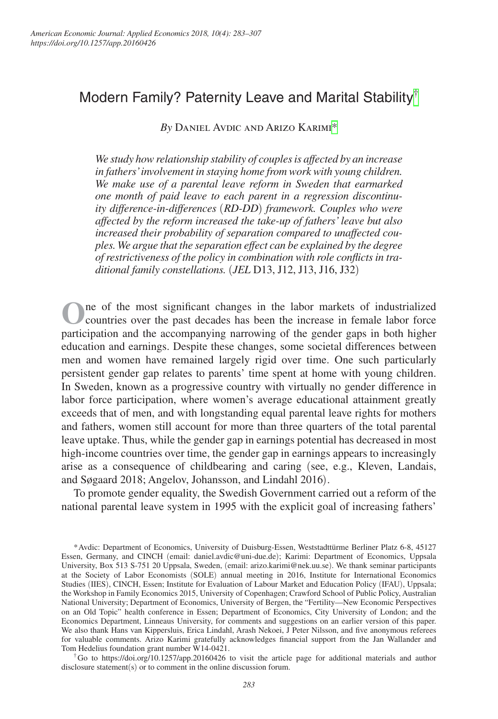# Modern Family? Paternity Leave and Marital Stability[†](#page-0-0)

*By* Daniel Avdic and Arizo Karimi[\\*](#page-0-1)

*We study how relationship stability of couples is affected by an increase in fathers' involvement in staying home from work with young children. We make use of a parental leave reform in Sweden that earmarked one month of paid leave to each parent in a regression discontinuity difference-in-differences* (*RD-DD*) *framework. Couples who were affected by the reform increased the take-up of fathers' leave but also increased their probability of separation compared to unaffected couples. We argue that the separation effect can be explained by the degree of restrictiveness of the policy in combination with role conflicts in traditional family constellations.* (*JEL* D13, J12, J13, J16, J32)

**O**ne of the most significant changes in the labor markets of industrialized countries over the past decades has been the increase in female labor force participation and the accompanying narrowing of the gender gaps in both higher education and earnings. Despite these changes, some societal differences between men and women have remained largely rigid over time. One such particularly persistent gender gap relates to parents' time spent at home with young children. In Sweden, known as a progressive country with virtually no gender difference in labor force participation, where women's average educational attainment greatly exceeds that of men, and with longstanding equal parental leave rights for mothers and fathers, women still account for more than three quarters of the total parental leave uptake. Thus, while the gender gap in earnings potential has decreased in most high-income countries over time, the gender gap in earnings appears to increasingly arise as a consequence of childbearing and caring (see, e.g., Kleven, Landais, and Søgaard 2018; Angelov, Johansson, and Lindahl 2016).

To promote gender equality, the Swedish Government carried out a reform of the national parental leave system in 1995 with the explicit goal of increasing fathers'

<span id="page-0-1"></span>\*Avdic: Department of Economics, University of Duisburg-Essen, Weststadttürme Berliner Platz 6-8, 45127 Essen, Germany, and CINCH (email: [daniel.avdic@uni-due.de](http://daniel.avdic@uni-due.de)); Karimi: Department of Economics, Uppsala University, Box 513 S-751 20 Uppsala, Sweden, (email: [arizo.karimi@nek.uu.se](mailto:arizo.karimi@nek.uu.se)). We thank seminar participants at the Society of Labor Economists (SOLE) annual meeting in 2016, Institute for International Economics Studies (IIES), CINCH, Essen; Institute for Evaluation of Labour Market and Education Policy (IFAU), Uppsala; the Workshop in Family Economics 2015, University of Copenhagen; Crawford School of Public Policy, Australian National University; Department of Economics, University of Bergen, the "Fertility—New Economic Perspectives on an Old Topic" health conference in Essen; Department of Economics, City University of London; and the Economics Department, Linneaus University, for comments and suggestions on an earlier version of this paper. We also thank Hans van Kippersluis, Erica Lindahl, Arash Nekoei, J Peter Nilsson, and five anonymous referees for valuable comments. Arizo Karimi gratefully acknowledges financial support from the Jan Wallander and Tom Hedelius foundation grant number W14-0421.

<span id="page-0-0"></span><sup>†</sup>Go to <https://doi.org/10.1257/app.20160426> to visit the article page for additional materials and author disclosure statement(s) or to comment in the online discussion forum.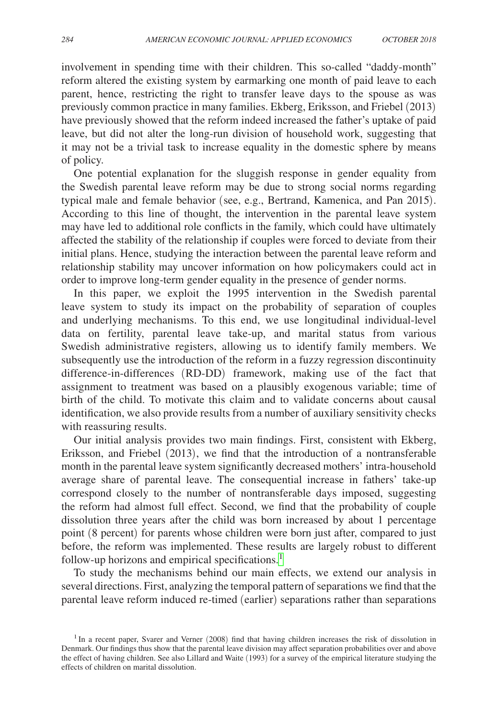involvement in spending time with their children. This so-called "daddy-month" reform altered the existing system by earmarking one month of paid leave to each parent, hence, restricting the right to transfer leave days to the spouse as was previously common practice in many families. Ekberg, Eriksson, and Friebel (2013) have previously showed that the reform indeed increased the father's uptake of paid leave, but did not alter the long-run division of household work, suggesting that it may not be a trivial task to increase equality in the domestic sphere by means of policy.

One potential explanation for the sluggish response in gender equality from the Swedish parental leave reform may be due to strong social norms regarding typical male and female behavior (see, e.g., Bertrand, Kamenica, and Pan 2015). According to this line of thought, the intervention in the parental leave system may have led to additional role conflicts in the family, which could have ultimately affected the stability of the relationship if couples were forced to deviate from their initial plans. Hence, studying the interaction between the parental leave reform and relationship stability may uncover information on how policymakers could act in order to improve long-term gender equality in the presence of gender norms.

In this paper, we exploit the 1995 intervention in the Swedish parental leave system to study its impact on the probability of separation of couples and underlying mechanisms. To this end, we use longitudinal individual-level data on fertility, parental leave take-up, and marital status from various Swedish administrative registers, allowing us to identify family members. We subsequently use the introduction of the reform in a fuzzy regression discontinuity difference-in-differences (RD-DD) framework, making use of the fact that assignment to treatment was based on a plausibly exogenous variable; time of birth of the child. To motivate this claim and to validate concerns about causal identification, we also provide results from a number of auxiliary sensitivity checks with reassuring results.

Our initial analysis provides two main findings. First, consistent with Ekberg, Eriksson, and Friebel (2013), we find that the introduction of a nontransferable month in the parental leave system significantly decreased mothers' intra-household average share of parental leave. The consequential increase in fathers' take-up correspond closely to the number of nontransferable days imposed, suggesting the reform had almost full effect. Second, we find that the probability of couple dissolution three years after the child was born increased by about 1 percentage point (8 percent) for parents whose children were born just after, compared to just before, the reform was implemented. These results are largely robust to different follow-up horizons and empirical specifications. $<sup>1</sup>$  $<sup>1</sup>$  $<sup>1</sup>$ </sup>

To study the mechanisms behind our main effects, we extend our analysis in several directions. First, analyzing the temporal pattern of separations we find that the parental leave reform induced re-timed (earlier) separations rather than separations

<span id="page-1-0"></span><sup>&</sup>lt;sup>1</sup> In a recent paper, Svarer and Verner (2008) find that having children increases the risk of dissolution in Denmark. Our findings thus show that the parental leave division may affect separation probabilities over and above the effect of having children. See also Lillard and Waite (1993) for a survey of the empirical literature studying the effects of children on marital dissolution.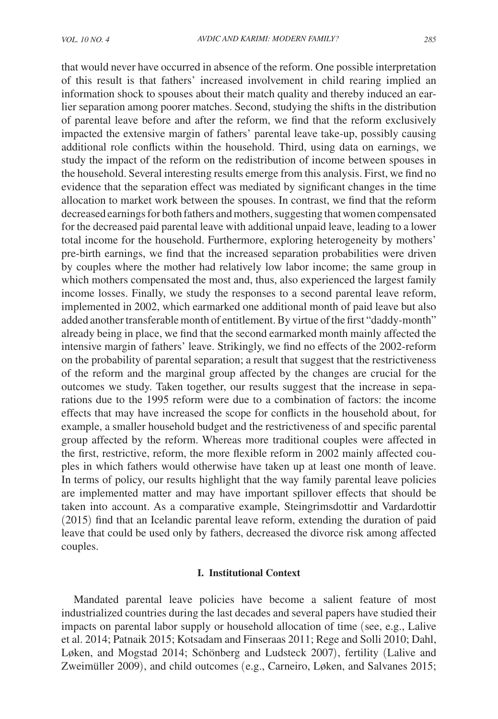that would never have occurred in absence of the reform. One possible interpretation of this result is that fathers' increased involvement in child rearing implied an information shock to spouses about their match quality and thereby induced an earlier separation among poorer matches. Second, studying the shifts in the distribution of parental leave before and after the reform, we find that the reform exclusively impacted the extensive margin of fathers' parental leave take-up, possibly causing additional role conflicts within the household. Third, using data on earnings, we study the impact of the reform on the redistribution of income between spouses in the household. Several interesting results emerge from this analysis. First, we find no evidence that the separation effect was mediated by significant changes in the time allocation to market work between the spouses. In contrast, we find that the reform decreased earnings for both fathers and mothers, suggesting that women compensated for the decreased paid parental leave with additional unpaid leave, leading to a lower total income for the household. Furthermore, exploring heterogeneity by mothers' pre-birth earnings, we find that the increased separation probabilities were driven by couples where the mother had relatively low labor income; the same group in which mothers compensated the most and, thus, also experienced the largest family income losses. Finally, we study the responses to a second parental leave reform, implemented in 2002, which earmarked one additional month of paid leave but also added another transferable month of entitlement. By virtue of the first "daddy-month" already being in place, we find that the second earmarked month mainly affected the intensive margin of fathers' leave. Strikingly, we find no effects of the 2002-reform on the probability of parental separation; a result that suggest that the restrictiveness of the reform and the marginal group affected by the changes are crucial for the outcomes we study. Taken together, our results suggest that the increase in separations due to the 1995 reform were due to a combination of factors: the income effects that may have increased the scope for conflicts in the household about, for example, a smaller household budget and the restrictiveness of and specific parental group affected by the reform. Whereas more traditional couples were affected in the first, restrictive, reform, the more flexible reform in 2002 mainly affected couples in which fathers would otherwise have taken up at least one month of leave. In terms of policy, our results highlight that the way family parental leave policies are implemented matter and may have important spillover effects that should be taken into account. As a comparative example, Steingrimsdottir and Vardardottir (2015) find that an Icelandic parental leave reform, extending the duration of paid leave that could be used only by fathers, decreased the divorce risk among affected

couples.

#### **I. Institutional Context**

Mandated parental leave policies have become a salient feature of most industrialized countries during the last decades and several papers have studied their impacts on parental labor supply or household allocation of time (see, e.g., Lalive et al. 2014; Patnaik 2015; Kotsadam and Finseraas 2011; Rege and Solli 2010; Dahl, Løken, and Mogstad 2014; Schönberg and Ludsteck 2007), fertility (Lalive and Zweimüller 2009), and child outcomes (e.g., Carneiro, Løken, and Salvanes 2015;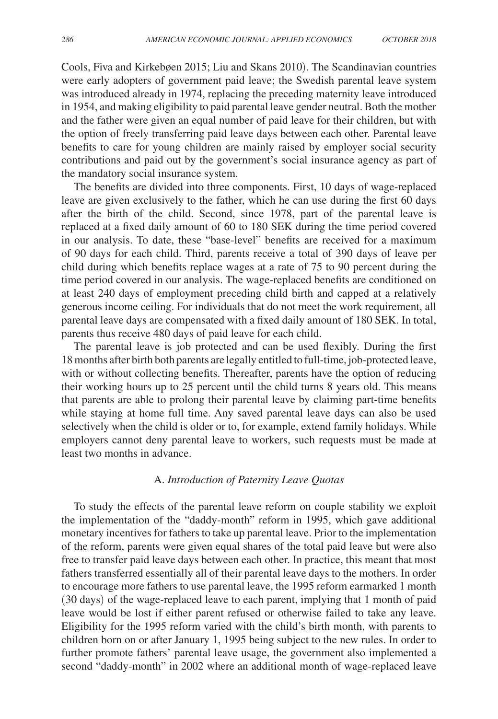Cools, Fiva and Kirkebøen 2015; Liu and Skans 2010). The Scandinavian countries were early adopters of government paid leave; the Swedish parental leave system was introduced already in 1974, replacing the preceding maternity leave introduced in 1954, and making eligibility to paid parental leave gender neutral. Both the mother and the father were given an equal number of paid leave for their children, but with the option of freely transferring paid leave days between each other. Parental leave benefits to care for young children are mainly raised by employer social security contributions and paid out by the government's social insurance agency as part of the mandatory social insurance system.

The benefits are divided into three components. First, 10 days of wage-replaced leave are given exclusively to the father, which he can use during the first 60 days after the birth of the child. Second, since 1978, part of the parental leave is replaced at a fixed daily amount of 60 to 180 SEK during the time period covered in our analysis. To date, these "base-level" benefits are received for a maximum of 90 days for each child. Third, parents receive a total of 390 days of leave per child during which benefits replace wages at a rate of 75 to 90 percent during the time period covered in our analysis. The wage-replaced benefits are conditioned on at least 240 days of employment preceding child birth and capped at a relatively generous income ceiling. For individuals that do not meet the work requirement, all parental leave days are compensated with a fixed daily amount of 180 SEK. In total, parents thus receive 480 days of paid leave for each child.

The parental leave is job protected and can be used flexibly. During the first 18 months after birth both parents are legally entitled to full-time, job-protected leave, with or without collecting benefits. Thereafter, parents have the option of reducing their working hours up to 25 percent until the child turns 8 years old. This means that parents are able to prolong their parental leave by claiming part-time benefits while staying at home full time. Any saved parental leave days can also be used selectively when the child is older or to, for example, extend family holidays. While employers cannot deny parental leave to workers, such requests must be made at least two months in advance.

## A. *Introduction of Paternity Leave Quotas*

To study the effects of the parental leave reform on couple stability we exploit the implementation of the "daddy-month" reform in 1995, which gave additional monetary incentives for fathers to take up parental leave. Prior to the implementation of the reform, parents were given equal shares of the total paid leave but were also free to transfer paid leave days between each other. In practice, this meant that most fathers transferred essentially all of their parental leave days to the mothers. In order to encourage more fathers to use parental leave, the 1995 reform earmarked 1 month (30 days) of the wage-replaced leave to each parent, implying that 1 month of paid leave would be lost if either parent refused or otherwise failed to take any leave. Eligibility for the 1995 reform varied with the child's birth month, with parents to children born on or after January 1, 1995 being subject to the new rules. In order to further promote fathers' parental leave usage, the government also implemented a second "daddy-month" in 2002 where an additional month of wage-replaced leave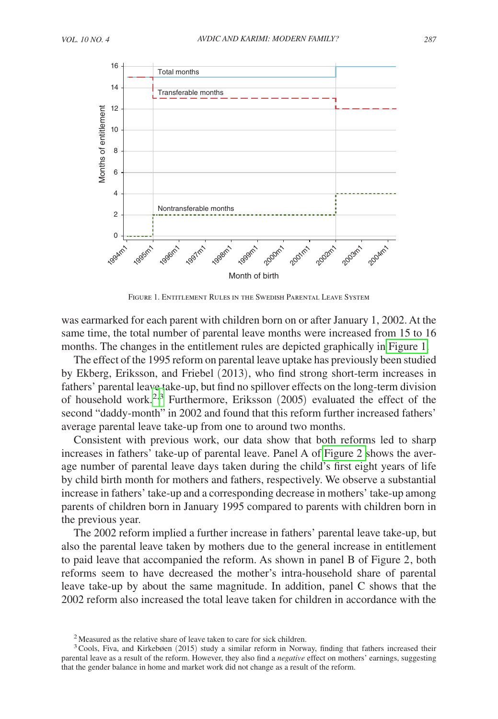

FIGURE 1. ENTITLEMENT RULES IN THE SWEDISH PARENTAL LEAVE SYSTEM

was earmarked for each parent with children born on or after January 1, 2002. At the same time, the total number of parental leave months were increased from 15 to 16 months. The changes in the entitlement rules are depicted graphically in Figure 1.

The effect of the 1995 reform on parental leave uptake has previously been studied by Ekberg, Eriksson, and Friebel (2013), who find strong short-term increases in fathers' parental leave take-up, but find no spillover effects on the long-term division of household work.<sup>[2,](#page-4-0)3</sup> Furthermore, Eriksson  $(2005)$  evaluated the effect of the second "daddy-month" in 2002 and found that this reform further increased fathers' average parental leave take-up from one to around two months.

Consistent with previous work, our data show that both reforms led to sharp increases in fathers' take-up of parental leave. Panel A of [Figure 2](#page-5-0) shows the average number of parental leave days taken during the child's first eight years of life by child birth month for mothers and fathers, respectively. We observe a substantial increase in fathers' take-up and a corresponding decrease in mothers' take-up among parents of children born in January 1995 compared to parents with children born in the previous year.

The 2002 reform implied a further increase in fathers' parental leave take-up, but also the parental leave taken by mothers due to the general increase in entitlement to paid leave that accompanied the reform. As shown in panel B of Figure 2, both reforms seem to have decreased the mother's intra-household share of parental leave take-up by about the same magnitude. In addition, panel C shows that the 2002 reform also increased the total leave taken for children in accordance with the

<span id="page-4-1"></span><span id="page-4-0"></span><sup>&</sup>lt;sup>2</sup>Measured as the relative share of leave taken to care for sick children.

<sup>&</sup>lt;sup>3</sup> Cools, Fiva, and Kirkebøen (2015) study a similar reform in Norway, finding that fathers increased their parental leave as a result of the reform. However, they also find a *negative* effect on mothers' earnings, suggesting that the gender balance in home and market work did not change as a result of the reform.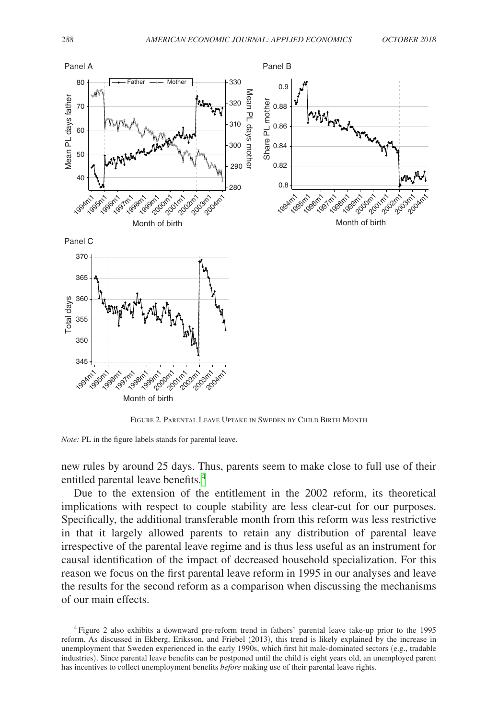<span id="page-5-0"></span>

Figure 2. Parental Leave Uptake in Sweden by Child Birth Month

*Note:* PL in the figure labels stands for parental leave.

new rules by around 25 days. Thus, parents seem to make close to full use of their entitled parental leave benefits.<sup>4</sup>

Due to the extension of the entitlement in the 2002 reform, its theoretical implications with respect to couple stability are less clear-cut for our purposes. Specifically, the additional transferable month from this reform was less restrictive in that it largely allowed parents to retain any distribution of parental leave irrespective of the parental leave regime and is thus less useful as an instrument for causal identification of the impact of decreased household specialization. For this reason we focus on the first parental leave reform in 1995 in our analyses and leave the results for the second reform as a comparison when discussing the mechanisms of our main effects.

<span id="page-5-1"></span><sup>4</sup>Figure 2 also exhibits a downward pre-reform trend in fathers' parental leave take-up prior to the 1995 reform. As discussed in Ekberg, Eriksson, and Friebel (2013), this trend is likely explained by the increase in unemployment that Sweden experienced in the early 1990s, which first hit male-dominated sectors (e.g., tradable industries). Since parental leave benefits can be postponed until the child is eight years old, an unemployed parent has incentives to collect unemployment benefits *before* making use of their parental leave rights.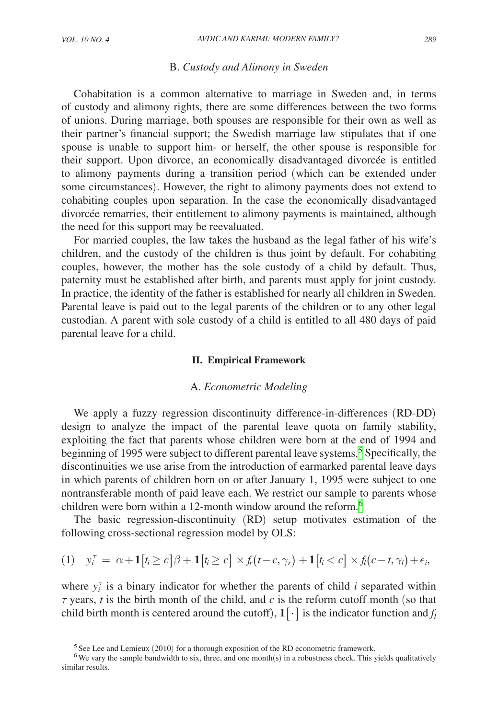#### B. *Custody and Alimony in Sweden*

Cohabitation is a common alternative to marriage in Sweden and, in terms of custody and alimony rights, there are some differences between the two forms of unions. During marriage, both spouses are responsible for their own as well as their partner's financial support; the Swedish marriage law stipulates that if one spouse is unable to support him- or herself, the other spouse is responsible for their support. Upon divorce, an economically disadvantaged divorcée is entitled to alimony payments during a transition period (which can be extended under some circumstances). However, the right to alimony payments does not extend to cohabiting couples upon separation. In the case the economically disadvantaged divorcée remarries, their entitlement to alimony payments is maintained, although the need for this support may be reevaluated.

For married couples, the law takes the husband as the legal father of his wife's children, and the custody of the children is thus joint by default. For cohabiting couples, however, the mother has the sole custody of a child by default. Thus, paternity must be established after birth, and parents must apply for joint custody. In practice, the identity of the father is established for nearly all children in Sweden. Parental leave is paid out to the legal parents of the children or to any other legal custodian. A parent with sole custody of a child is entitled to all 480 days of paid parental leave for a child.

#### **II. Empirical Framework**

#### A. *Econometric Modeling*

We apply a fuzzy regression discontinuity difference-in-differences (RD-DD) design to analyze the impact of the parental leave quota on family stability, exploiting the fact that parents whose children were born at the end of 1994 and beginning of 199[5](#page-6-0) were subject to different parental leave systems.<sup>5</sup> Specifically, the discontinuities we use arise from the introduction of earmarked parental leave days in which parents of children born on or after January 1, 1995 were subject to one nontransferable month of paid leave each. We restrict our sample to parents whose children were born within a 12-month window around the reform.<sup>[6](#page-6-1)</sup>

The basic regression-discontinuity (RD) setup motivates estimation of the following cross-sectional regression model by OLS:

$$
(1) \quad y_i^{\tau} = \alpha + \mathbf{1}[t_i \ge c] \beta + \mathbf{1}[t_i \ge c] \times f_r(t - c, \gamma_r) + \mathbf{1}[t_i < c] \times f_l(c - t, \gamma_l) + \epsilon_i,
$$

where  $y_i^{\tau}$  is a binary indicator for whether the parents of child *i* separated within  $\tau$  years, *t* is the birth month of the child, and *c* is the reform cutoff month (so that child birth month is centered around the cutoff),  $1[\cdot]$  is the indicator function and  $f_l$ 

<span id="page-6-1"></span><span id="page-6-0"></span><sup>&</sup>lt;sup>5</sup>See Lee and Lemieux (2010) for a thorough exposition of the RD econometric framework. <sup>6</sup>We vary the sample bandwidth to six, three, and one month(s) in a robustness check. This yields qualitatively

similar results.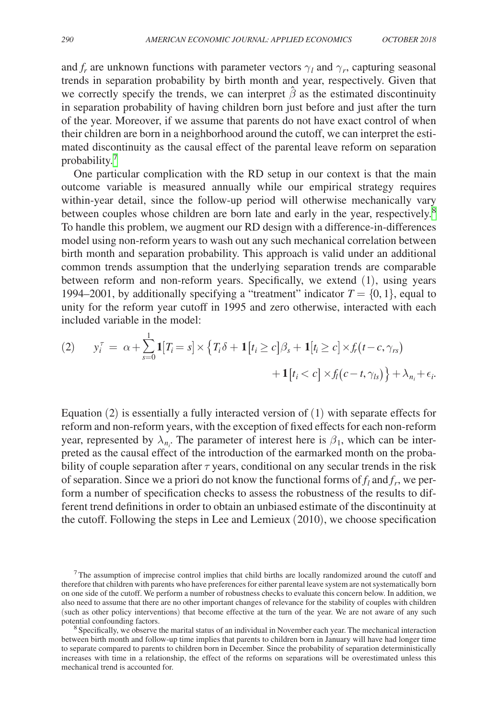and  $f_r$  are unknown functions with parameter vectors  $\gamma_l$  and  $\gamma_r$ , capturing seasonal trends in separation probability by birth month and year, respectively. Given that we correctly specify the trends, we can interpret  $\hat{\beta}$  as the estimated discontinuity in separation probability of having children born just before and just after the turn of the year. Moreover, if we assume that parents do not have exact control of when their children are born in a neighborhood around the cutoff, we can interpret the estimated discontinuity as the causal effect of the parental leave reform on separation probability[.7](#page-7-0)

One particular complication with the RD setup in our context is that the main outcome variable is measured annually while our empirical strategy requires within-year detail, since the follow-up period will otherwise mechanically vary between couples whose children are born late and early in the year, respectively.<sup>[8](#page-7-1)</sup> To handle this problem, we augment our RD design with a difference-in-differences model using non-reform years to wash out any such mechanical correlation between birth month and separation probability. This approach is valid under an additional common trends assumption that the underlying separation trends are comparable between reform and non-reform years. Specifically, we extend (1), using years 1994–2001, by additionally specifying a "treatment" indicator  $T = \{0, 1\}$ , equal to unity for the reform year cutoff in 1995 and zero otherwise, interacted with each included variable in the model:

$$
(2) \qquad y_i^{\tau} = \alpha + \sum_{s=0}^{1} \mathbf{1}[T_i = s] \times \left\{ T_i \delta + \mathbf{1}[t_i \ge c] \beta_s + \mathbf{1}[t_i \ge c] \times f_r(t - c, \gamma_{rs}) + \mathbf{1}[t_i < c] \times f_l(c - t, \gamma_{ls}) \right\} + \lambda_{n_i} + \epsilon_i.
$$

Equation (2) is essentially a fully interacted version of (1) with separate effects for reform and non-reform years, with the exception of fixed effects for each non-reform year, represented by  $\lambda_{n_i}$ . The parameter of interest here is  $\beta_1$ , which can be interpreted as the causal effect of the introduction of the earmarked month on the probability of couple separation after  $\tau$  years, conditional on any secular trends in the risk of separation. Since we a priori do not know the functional forms of  $f_l$  and  $f_r$ , we perform a number of specification checks to assess the robustness of the results to different trend definitions in order to obtain an unbiased estimate of the discontinuity at the cutoff. Following the steps in Lee and Lemieux (2010), we choose specification

<span id="page-7-0"></span><sup>&</sup>lt;sup>7</sup>The assumption of imprecise control implies that child births are locally randomized around the cutoff and therefore that children with parents who have preferences for either parental leave system are not systematically born on one side of the cutoff. We perform a number of robustness checks to evaluate this concern below. In addition, we also need to assume that there are no other important changes of relevance for the stability of couples with children (such as other policy interventions) that become effective at the turn of the year. We are not aware of any such potential confounding factors.

<span id="page-7-1"></span><sup>&</sup>lt;sup>8</sup> Specifically, we observe the marital status of an individual in November each year. The mechanical interaction between birth month and follow-up time implies that parents to children born in January will have had longer time to separate compared to parents to children born in December. Since the probability of separation deterministically increases with time in a relationship, the effect of the reforms on separations will be overestimated unless this mechanical trend is accounted for.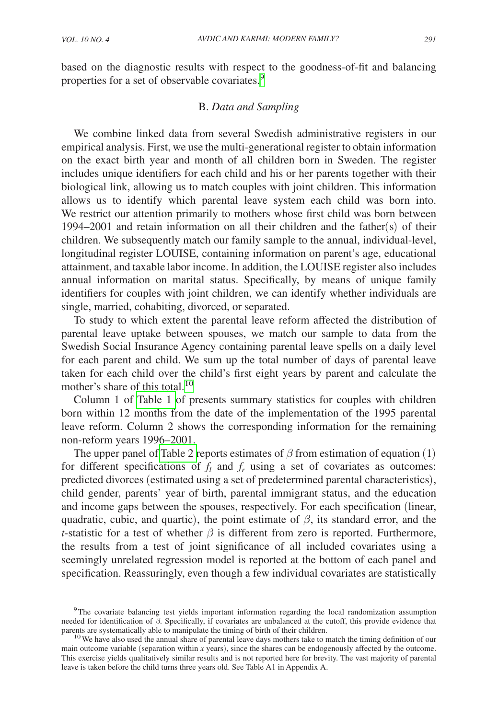based on the diagnostic results with respect to the goodness-of-fit and balancing properties for a set of observable covariates.<sup>[9](#page-8-0)</sup>

# B. *Data and Sampling*

We combine linked data from several Swedish administrative registers in our empirical analysis. First, we use the multi-generational register to obtain information on the exact birth year and month of all children born in Sweden. The register includes unique identifiers for each child and his or her parents together with their biological link, allowing us to match couples with joint children. This information allows us to identify which parental leave system each child was born into. We restrict our attention primarily to mothers whose first child was born between 1994–2001 and retain information on all their children and the father(s) of their children. We subsequently match our family sample to the annual, individual-level, longitudinal register LOUISE, containing information on parent's age, educational attainment, and taxable labor income. In addition, the LOUISE register also includes annual information on marital status. Specifically, by means of unique family identifiers for couples with joint children, we can identify whether individuals are single, married, cohabiting, divorced, or separated.

To study to which extent the parental leave reform affected the distribution of parental leave uptake between spouses, we match our sample to data from the Swedish Social Insurance Agency containing parental leave spells on a daily level for each parent and child. We sum up the total number of days of parental leave taken for each child over the child's first eight years by parent and calculate the mother's share of this total.<sup>[10](#page-8-1)</sup>

Column 1 of [Table 1](#page-9-0) of presents summary statistics for couples with children born within 12 months from the date of the implementation of the 1995 parental leave reform. Column 2 shows the corresponding information for the remaining non-reform years 1996–2001.

The upper panel of [Table 2 r](#page-10-0)eports estimates of  $\beta$  from estimation of equation (1) for different specifications of  $f_l$  and  $f_r$  using a set of covariates as outcomes: predicted divorces (estimated using a set of predetermined parental characteristics), child gender, parents' year of birth, parental immigrant status, and the education and income gaps between the spouses, respectively. For each specification (linear, quadratic, cubic, and quartic), the point estimate of  $\beta$ , its standard error, and the *t*-statistic for a test of whether  $\beta$  is different from zero is reported. Furthermore, the results from a test of joint significance of all included covariates using a seemingly unrelated regression model is reported at the bottom of each panel and specification. Reassuringly, even though a few individual covariates are statistically

<span id="page-8-0"></span><sup>9</sup>The covariate balancing test yields important information regarding the local randomization assumption needed for identification of  $β$ . Specifically, if covariates are unbalanced at the cutoff, this provide evidence that parents are systematically able to manipulate the timing of birth of their children.

<span id="page-8-1"></span> $10$  We have also used the annual share of parental leave days mothers take to match the timing definition of our main outcome variable (separation within *x* years), since the shares can be endogenously affected by the outcome. This exercise yields qualitatively similar results and is not reported here for brevity. The vast majority of parental leave is taken before the child turns three years old. See Table A1 in Appendix A.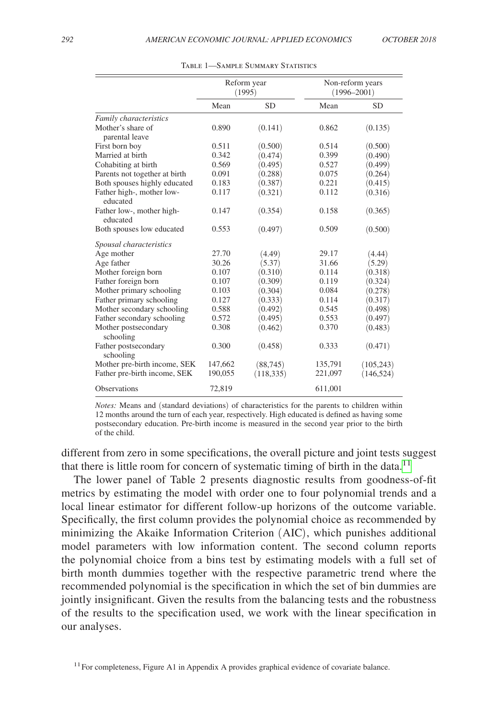<span id="page-9-0"></span>

|                                       | Reform year<br>(1995) |            |         | Non-reform years<br>$(1996 - 2001)$ |
|---------------------------------------|-----------------------|------------|---------|-------------------------------------|
|                                       | Mean                  | <b>SD</b>  | Mean    | <b>SD</b>                           |
| Family characteristics                |                       |            |         |                                     |
| Mother's share of<br>parental leave   | 0.890                 | (0.141)    | 0.862   | (0.135)                             |
| First born boy                        | 0.511                 | (0.500)    | 0.514   | (0.500)                             |
| Married at birth                      | 0.342                 | (0.474)    | 0.399   | (0.490)                             |
| Cohabiting at birth                   | 0.569                 | (0.495)    | 0.527   | (0.499)                             |
| Parents not together at birth         | 0.091                 | (0.288)    | 0.075   | (0.264)                             |
| Both spouses highly educated          | 0.183                 | (0.387)    | 0.221   | (0.415)                             |
| Father high-, mother low-<br>educated | 0.117                 | (0.321)    | 0.112   | (0.316)                             |
| Father low-, mother high-<br>educated | 0.147                 | (0.354)    | 0.158   | (0.365)                             |
| Both spouses low educated             | 0.553                 | (0.497)    | 0.509   | (0.500)                             |
| Spousal characteristics               |                       |            |         |                                     |
| Age mother                            | 27.70                 | (4.49)     | 29.17   | (4.44)                              |
| Age father                            | 30.26                 | (5.37)     | 31.66   | (5.29)                              |
| Mother foreign born                   | 0.107                 | (0.310)    | 0.114   | (0.318)                             |
| Father foreign born                   | 0.107                 | (0.309)    | 0.119   | (0.324)                             |
| Mother primary schooling              | 0.103                 | (0.304)    | 0.084   | (0.278)                             |
| Father primary schooling              | 0.127                 | (0.333)    | 0.114   | (0.317)                             |
| Mother secondary schooling            | 0.588                 | (0.492)    | 0.545   | (0.498)                             |
| Father secondary schooling            | 0.572                 | (0.495)    | 0.553   | (0.497)                             |
| Mother postsecondary<br>schooling     | 0.308                 | (0.462)    | 0.370   | (0.483)                             |
| Father postsecondary<br>schooling     | 0.300                 | (0.458)    | 0.333   | (0.471)                             |
| Mother pre-birth income, SEK          | 147,662               | (88, 745)  | 135,791 | (105, 243)                          |
| Father pre-birth income, SEK          | 190,055               | (118, 335) | 221,097 | (146, 524)                          |
| <b>Observations</b>                   | 72,819                |            | 611,001 |                                     |

Table 1—Sample Summary Statistics

*Notes:* Means and (standard deviations) of characteristics for the parents to children within 12 months around the turn of each year, respectively. High educated is defined as having some postsecondary education. Pre-birth income is measured in the second year prior to the birth of the child.

different from zero in some specifications, the overall picture and joint tests suggest that there is little room for concern of systematic timing of birth in the data.<sup>[11](#page-9-1)</sup>

The lower panel of Table 2 presents diagnostic results from goodness-of-fit metrics by estimating the model with order one to four polynomial trends and a local linear estimator for different follow-up horizons of the outcome variable. Specifically, the first column provides the polynomial choice as recommended by minimizing the Akaike Information Criterion (AIC), which punishes additional model parameters with low information content. The second column reports the polynomial choice from a bins test by estimating models with a full set of birth month dummies together with the respective parametric trend where the recommended polynomial is the specification in which the set of bin dummies are jointly insignificant. Given the results from the balancing tests and the robustness of the results to the specification used, we work with the linear specification in our analyses.

<span id="page-9-1"></span> $11$  For completeness, Figure A1 in Appendix A provides graphical evidence of covariate balance.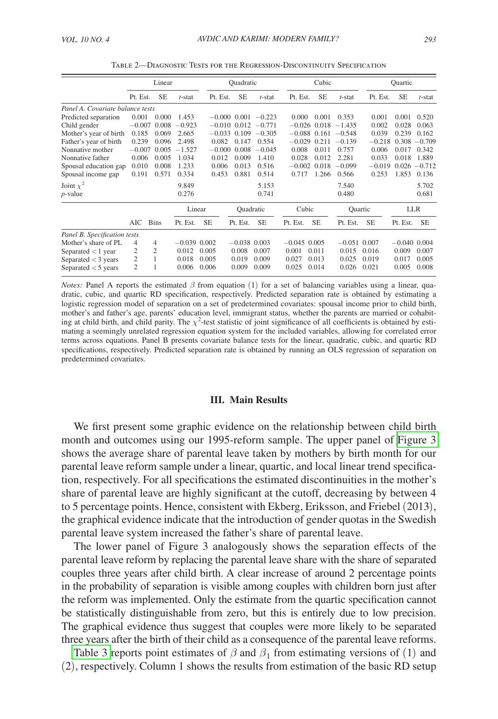<span id="page-10-0"></span>

|                                  | Linear         |                |                | Quadratic |                |                           | Cubic          |           |                         | Quartic   |                |                 |
|----------------------------------|----------------|----------------|----------------|-----------|----------------|---------------------------|----------------|-----------|-------------------------|-----------|----------------|-----------------|
|                                  | Pt. Est.       | <b>SE</b>      | $t$ -stat      | Pt. Est.  | <b>SE</b>      | $t$ -stat                 | Pt. Est.       | <b>SE</b> | $t$ -stat               | Pt. Est.  | <b>SE</b>      | t-stat          |
| Panel A. Covariate balance tests |                |                |                |           |                |                           |                |           |                         |           |                |                 |
| Predicted separation             | 0.001          | 0.000          | 1.453          |           |                | $-0.000$ $0.001$ $-0.223$ | 0.000          | 0.001     | 0.353                   | 0.001     | 0.001          | 0.520           |
| Child gender                     | $-0.007$       | 0.008          | $-0.923$       |           |                | $-0.010$ $0.012$ $-0.771$ |                |           | $-0.026$ 0.018 $-1.435$ | 0.002     | 0.028          | 0.063           |
| Mother's year of birth           | 0.185          | 0.069          | 2.665          |           | $-0.033$ 0.109 | $-0.305$                  |                |           | $-0.088$ 0.161 $-0.548$ | 0.039     | 0.239          | 0.162           |
| Father's year of birth           | 0.239          | 0.096          | 2.498          | 0.082     | 0.147          | 0.554                     | $-0.029$       |           | $0.211 - 0.139$         | $-0.218$  |                | $0.308 - 0.709$ |
| Nonnative mother                 | $-0.007$       | 0.005          | $-1.527$       | $-0.000$  | 0.008          | $-0.045$                  | 0.008          | 0.011     | 0.757                   | 0.006     | 0.017          | 0.342           |
| Nonnative father                 | 0.006          | 0.005          | 1.034          | 0.012     | 0.009          | 1.410                     | 0.028          | 0.012     | 2.281                   | 0.033     | 0.018          | 1.889           |
| Spousal education gap            | 0.010          | 0.008          | 1.233          | 0.006     | 0.013          | 0.516                     | $-0.002$       | 0.018     | $-0.099$                | $-0.019$  |                | $0.026 - 0.712$ |
| Spousal income gap               | 0.191          | 0.571          | 0.334          | 0.453     | 0.881          | 0.514                     | 0.717          | 1.266     | 0.566                   | 0.253     | 1.853          | 0.136           |
| Joint $\chi^2$                   |                |                | 9.849          |           |                | 5.153                     |                |           | 7.540                   |           |                | 5.702           |
| $p$ -value                       |                |                | 0.276          |           |                | 0.741                     |                |           | 0.480                   |           |                | 0.681           |
|                                  |                |                | Linear         |           | Quadratic      |                           | Cubic          |           |                         | Quartic   |                | LLR             |
|                                  | AIC            | <b>Bins</b>    | Pt. Est.       | <b>SE</b> | Pt. Est.       | <b>SE</b>                 | Pt. Est.       | <b>SE</b> | Pt. Est.                | <b>SE</b> | Pt. Est.       | <b>SE</b>       |
| Panel B. Specification tests     |                |                |                |           |                |                           |                |           |                         |           |                |                 |
| Mother's share of PL             | 4              | 4              | $-0.039$ 0.002 |           | $-0.038$ 0.003 |                           | $-0.045$ 0.005 |           | $-0.051$ 0.007          |           | $-0.040$ 0.004 |                 |
| Separated $<$ 1 year             | $\overline{c}$ | $\overline{c}$ | 0.012          | 0.005     | 0.008          | 0.007                     | 0.001          | 0.011     | 0.015                   | 0.016     | 0.009          | 0.007           |
| Separated $<$ 3 years            | $\overline{c}$ | 1              | 0.018          | 0.005     | 0.019          | 0.009                     | 0.027          | 0.013     | 0.025                   | 0.019     | 0.017          | 0.005           |
| Separated $<$ 5 years            | $\overline{c}$ |                | 0.006          | 0.006     | 0.009          | 0.009                     | 0.025          | 0.014     | 0.026                   | 0.021     | 0.005          | 0.008           |

Table 2—Diagnostic Tests for the Regression-Discontinuity Specification

*Notes:* Panel A reports the estimated  $\beta$  from equation (1) for a set of balancing variables using a linear, quadratic, cubic, and quartic RD specification, respectively. Predicted separation rate is obtained by estimating a logistic regression model of separation on a set of predetermined covariates: spousal income prior to child birth, mother's and father's age, parents' education level, immigrant status, whether the parents are married or cohabiting at child birth, and child parity. The  $\chi^2$ -test statistic of joint significance of all coefficients is obtained by estimating a seemingly unrelated regression equation system for the included variables, allowing for correlated error terms across equations. Panel B presents covariate balance tests for the linear, quadratic, cubic, and quartic RD specifications, respectively. Predicted separation rate is obtained by running an OLS regression of separation on predetermined covariates.

#### **III. Main Results**

We first present some graphic evidence on the relationship between child birth month and outcomes using our 1995-reform sample. The upper panel of [Figure 3](#page-11-0)  shows the average share of parental leave taken by mothers by birth month for our parental leave reform sample under a linear, quartic, and local linear trend specification, respectively. For all specifications the estimated discontinuities in the mother's share of parental leave are highly significant at the cutoff, decreasing by between 4 to 5 percentage points. Hence, consistent with Ekberg, Eriksson, and Friebel (2013), the graphical evidence indicate that the introduction of gender quotas in the Swedish parental leave system increased the father's share of parental leave.

The lower panel of Figure 3 analogously shows the separation effects of the parental leave reform by replacing the parental leave share with the share of separated couples three years after child birth. A clear increase of around 2 percentage points in the probability of separation is visible among couples with children born just after the reform was implemented. Only the estimate from the quartic specification cannot be statistically distinguishable from zero, but this is entirely due to low precision. The graphical evidence thus suggest that couples were more likely to be separated three years after the birth of their child as a consequence of the parental leave reforms.

[Table 3](#page-12-0) reports point estimates of  $\beta$  and  $\beta_1$  from estimating versions of (1) and (2), respectively. Column 1 shows the results from estimation of the basic RD setup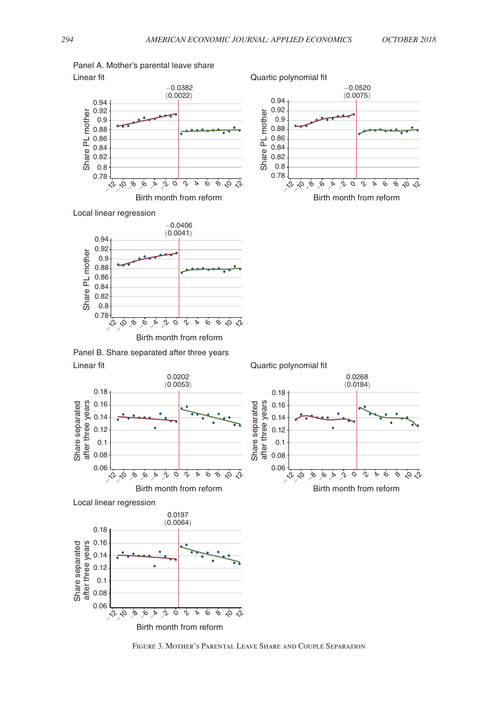かか

<span id="page-11-0"></span>



Local linear regression



Linear fit Panel B. Share separated after three years







Figure 3. Mother's Parental Leave Share and Couple Separation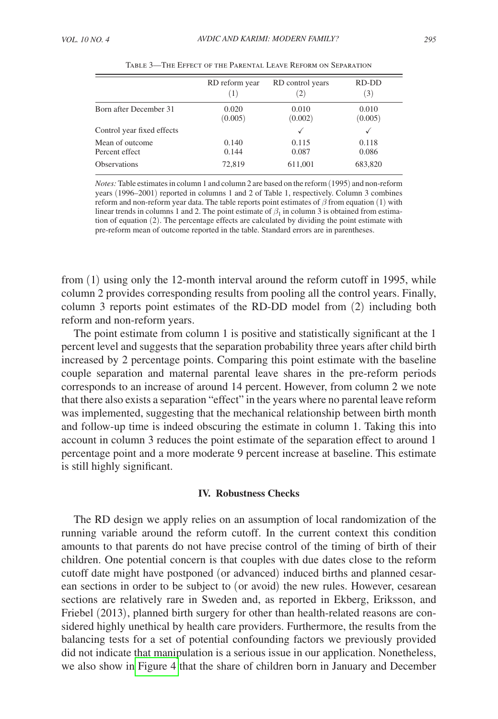<span id="page-12-0"></span>

|                                   | RD reform year   | RD control years<br>(2) | RD-DD<br>(3)     |
|-----------------------------------|------------------|-------------------------|------------------|
| Born after December 31            | 0.020<br>(0.005) | 0.010<br>(0.002)        | 0.010<br>(0.005) |
| Control year fixed effects        |                  |                         |                  |
| Mean of outcome<br>Percent effect | 0.140<br>0.144   | 0.115<br>0.087          | 0.118<br>0.086   |
| <b>Observations</b>               | 72,819           | 611,001                 | 683,820          |

Table 3—The Effect of the Parental Leave Reform on Separation

*Notes:* Table estimates in column 1 and column 2 are based on the reform (1995) and non-reform years (1996–2001) reported in columns 1 and 2 of Table 1, respectively. Column 3 combines reform and non-reform year data. The table reports point estimates of  $\beta$  from equation (1) with linear trends in columns 1 and 2. The point estimate of  $\beta_1$  in column 3 is obtained from estimation of equation (2). The percentage effects are calculated by dividing the point estimate with pre-reform mean of outcome reported in the table. Standard errors are in parentheses.

from (1) using only the 12-month interval around the reform cutoff in 1995, while column 2 provides corresponding results from pooling all the control years. Finally, column 3 reports point estimates of the RD-DD model from (2) including both reform and non-reform years.

The point estimate from column 1 is positive and statistically significant at the 1 percent level and suggests that the separation probability three years after child birth increased by 2 percentage points. Comparing this point estimate with the baseline couple separation and maternal parental leave shares in the pre-reform periods corresponds to an increase of around 14 percent. However, from column 2 we note that there also exists a separation "effect" in the years where no parental leave reform was implemented, suggesting that the mechanical relationship between birth month and follow-up time is indeed obscuring the estimate in column 1. Taking this into account in column 3 reduces the point estimate of the separation effect to around 1 percentage point and a more moderate 9 percent increase at baseline. This estimate is still highly significant.

#### **IV. Robustness Checks**

The RD design we apply relies on an assumption of local randomization of the running variable around the reform cutoff. In the current context this condition amounts to that parents do not have precise control of the timing of birth of their children. One potential concern is that couples with due dates close to the reform cutoff date might have postponed (or advanced) induced births and planned cesarean sections in order to be subject to (or avoid) the new rules. However, cesarean sections are relatively rare in Sweden and, as reported in Ekberg, Eriksson, and Friebel (2013), planned birth surgery for other than health-related reasons are considered highly unethical by health care providers. Furthermore, the results from the balancing tests for a set of potential confounding factors we previously provided did not indicate that manipulation is a serious issue in our application. Nonetheless, we also show in [Figure 4](#page-13-0) that the share of children born in January and December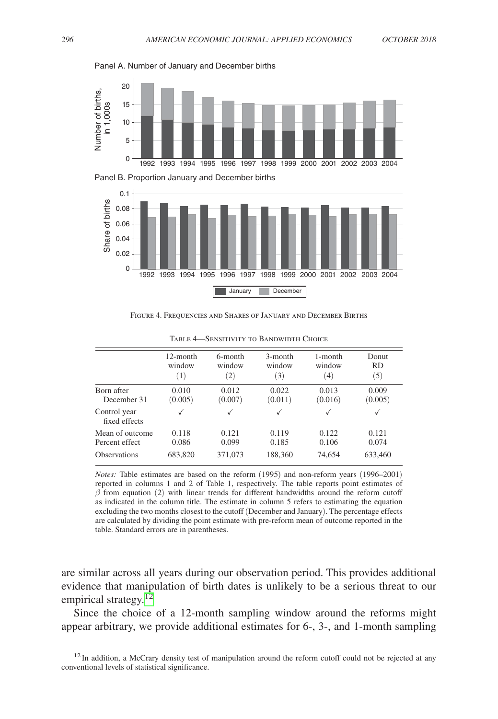

<span id="page-13-0"></span>Panel A. Number of January and December births





Figure 4. Frequencies and Shares of January and December Births

|                               | 12-month | 6-month           | 3-month | 1-month | Donut     |
|-------------------------------|----------|-------------------|---------|---------|-----------|
|                               | window   | window            | window  | window  | <b>RD</b> |
|                               | (1)      | $\left( 2\right)$ | (3)     | (4)     | (5)       |
| Born after                    | 0.010    | 0.012             | 0.022   | 0.013   | 0.009     |
| December 31                   | (0.005)  | (0.007)           | (0.011) | (0.016) | (0.005)   |
| Control year<br>fixed effects | √        | √                 | √       | √       | √         |
| Mean of outcome               | 0.118    | 0.121             | 0.119   | 0.122   | 0.121     |
| Percent effect                | 0.086    | 0.099             | 0.185   | 0.106   | 0.074     |
| Observations                  | 683,820  | 371,073           | 188,360 | 74,654  | 633,460   |

Table 4—Sensitivity to Bandwidth Choice

*Notes:* Table estimates are based on the reform (1995) and non-reform years (1996–2001) reported in columns 1 and 2 of Table 1, respectively. The table reports point estimates of  $\beta$  from equation (2) with linear trends for different bandwidths around the reform cutoff as indicated in the column title. The estimate in column 5 refers to estimating the equation excluding the two months closest to the cutoff (December and January). The percentage effects are calculated by dividing the point estimate with pre-reform mean of outcome reported in the table. Standard errors are in parentheses.

are similar across all years during our observation period. This provides additional evidence that manipulation of birth dates is unlikely to be a serious threat to our empirical strategy. $12$ 

Since the choice of a 12-month sampling window around the reforms might appear arbitrary, we provide additional estimates for 6-, 3-, and 1-month sampling

<span id="page-13-1"></span> $12$  In addition, a McCrary density test of manipulation around the reform cutoff could not be rejected at any conventional levels of statistical significance.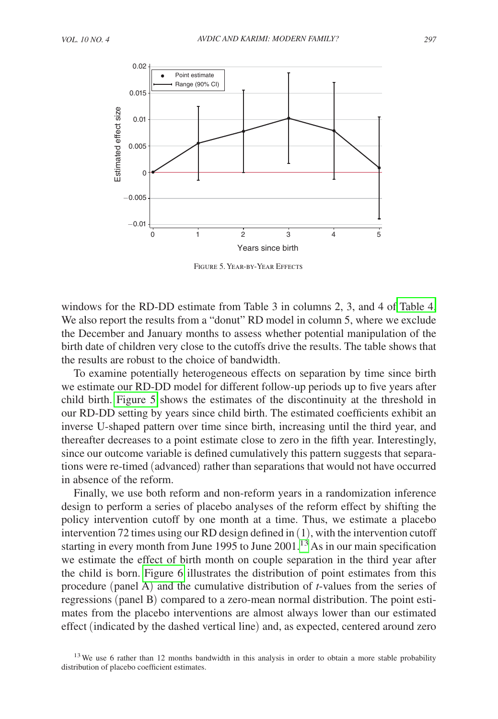

Figure 5. Year-by-Year Effects

windows for the RD-DD estimate from Table 3 in columns 2, 3, and 4 of [Table 4.](#page-13-0) We also report the results from a "donut" RD model in column 5, where we exclude the December and January months to assess whether potential manipulation of the birth date of children very close to the cutoffs drive the results. The table shows that the results are robust to the choice of bandwidth.

To examine potentially heterogeneous effects on separation by time since birth we estimate our RD-DD model for different follow-up periods up to five years after child birth. Figure 5 shows the estimates of the discontinuity at the threshold in our RD-DD setting by years since child birth. The estimated coefficients exhibit an inverse U-shaped pattern over time since birth, increasing until the third year, and thereafter decreases to a point estimate close to zero in the fifth year. Interestingly, since our outcome variable is defined cumulatively this pattern suggests that separations were re-timed (advanced) rather than separations that would not have occurred in absence of the reform.

Finally, we use both reform and non-reform years in a randomization inference design to perform a series of placebo analyses of the reform effect by shifting the policy intervention cutoff by one month at a time. Thus, we estimate a placebo intervention 72 times using our RD design defined in (1), with the intervention cutoff starting in every month from June 1995 to June  $2001$ .<sup>[13](#page-14-0)</sup> As in our main specification we estimate the effect of birth month on couple separation in the third year after the child is born. [Figure 6](#page-15-0) illustrates the distribution of point estimates from this procedure (panel A) and the cumulative distribution of *t*-values from the series of regressions (panel B) compared to a zero-mean normal distribution. The point estimates from the placebo interventions are almost always lower than our estimated effect (indicated by the dashed vertical line) and, as expected, centered around zero

<span id="page-14-0"></span> $13$  We use 6 rather than 12 months bandwidth in this analysis in order to obtain a more stable probability distribution of placebo coefficient estimates.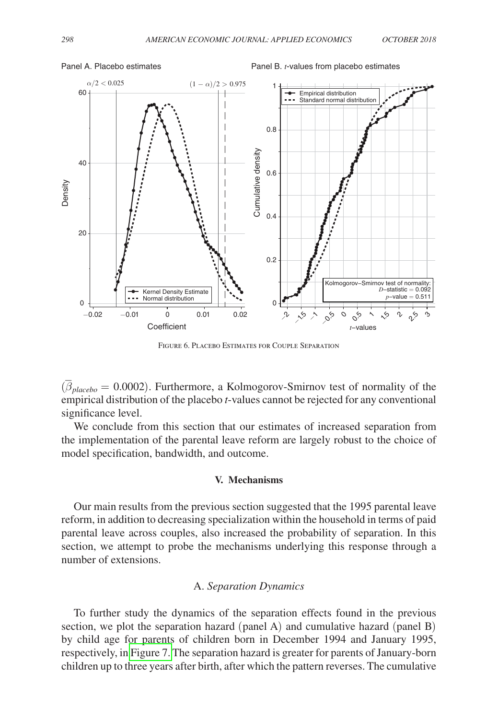

<span id="page-15-0"></span>Panel A. Placebo estimates **Panel B.** *t***-values from placebo estimates** Panel B. *t*-values from placebo estimates

Figure 6. Placebo Estimates for Couple Separation

(  $\overline{\beta}_{placebo} = 0.0002$ ). Furthermore, a Kolmogorov-Smirnov test of normality of the empirical distribution of the placebo *t*-values cannot be rejected for any conventional significance level.

We conclude from this section that our estimates of increased separation from the implementation of the parental leave reform are largely robust to the choice of model specification, bandwidth, and outcome.

#### **V. Mechanisms**

Our main results from the previous section suggested that the 1995 parental leave reform, in addition to decreasing specialization within the household in terms of paid parental leave across couples, also increased the probability of separation. In this section, we attempt to probe the mechanisms underlying this response through a number of extensions.

## A. *Separation Dynamics*

To further study the dynamics of the separation effects found in the previous section, we plot the separation hazard (panel A) and cumulative hazard (panel B) by child age for parents of children born in December 1994 and January 1995, respectively, in [Figure 7.](#page-16-0) The separation hazard is greater for parents of January-born children up to three years after birth, after which the pattern reverses. The cumulative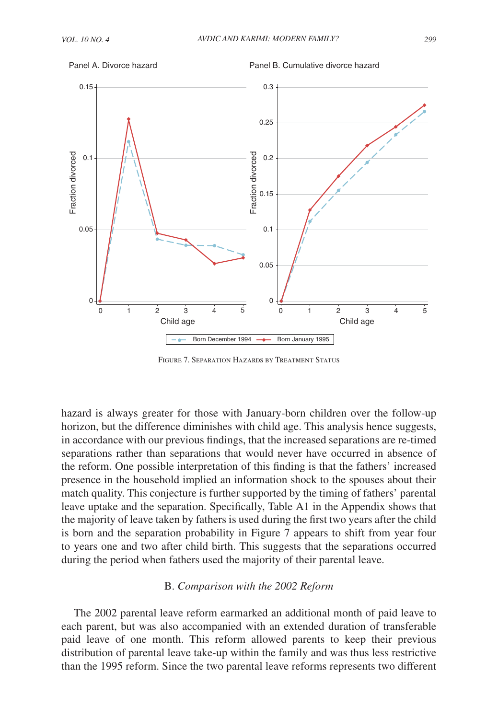<span id="page-16-0"></span>

Panel B. Cumulative divorce hazard



Figure 7. Separation Hazards by Treatment Status

hazard is always greater for those with January-born children over the follow-up horizon, but the difference diminishes with child age. This analysis hence suggests, in accordance with our previous findings, that the increased separations are re-timed separations rather than separations that would never have occurred in absence of the reform. One possible interpretation of this finding is that the fathers' increased presence in the household implied an information shock to the spouses about their match quality. This conjecture is further supported by the timing of fathers' parental leave uptake and the separation. Specifically, Table A1 in the Appendix shows that the majority of leave taken by fathers is used during the first two years after the child is born and the separation probability in Figure 7 appears to shift from year four to years one and two after child birth. This suggests that the separations occurred during the period when fathers used the majority of their parental leave.

#### B. *Comparison with the 2002 Reform*

The 2002 parental leave reform earmarked an additional month of paid leave to each parent, but was also accompanied with an extended duration of transferable paid leave of one month. This reform allowed parents to keep their previous distribution of parental leave take-up within the family and was thus less restrictive than the 1995 reform. Since the two parental leave reforms represents two different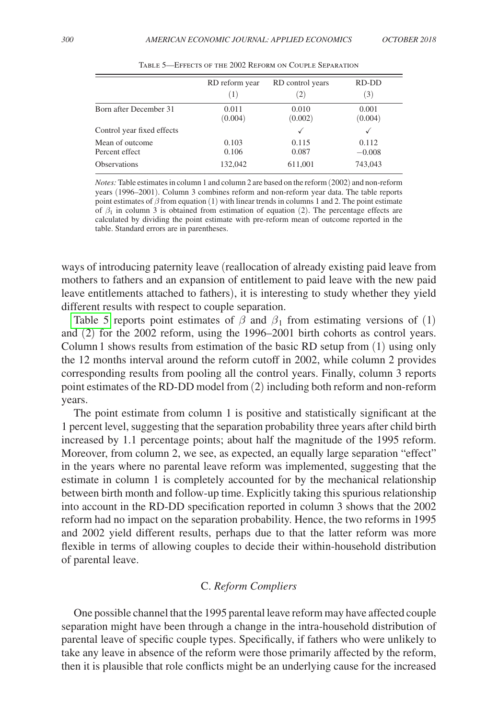|                            | RD reform year | RD control years | RD-DD    |
|----------------------------|----------------|------------------|----------|
|                            | (1)            | (2)              | (3)      |
| Born after December 31     | 0.011          | 0.010            | 0.001    |
|                            | (0.004)        | (0.002)          | (0.004)  |
| Control year fixed effects |                | $\checkmark$     |          |
| Mean of outcome            | 0.103          | 0.115            | 0.112    |
| Percent effect             | 0.106          | 0.087            | $-0.008$ |
| <b>Observations</b>        | 132,042        | 611,001          | 743,043  |

Table 5—Effects of the 2002 Reform on Couple Separation

*Notes:* Table estimates in column 1 and column 2 are based on the reform (2002) and non-reform years (1996–2001). Column 3 combines reform and non-reform year data. The table reports point estimates of  $\beta$  from equation (1) with linear trends in columns 1 and 2. The point estimate of  $\beta_1$  in column 3 is obtained from estimation of equation (2). The percentage effects are calculated by dividing the point estimate with pre-reform mean of outcome reported in the table. Standard errors are in parentheses.

ways of introducing paternity leave (reallocation of already existing paid leave from mothers to fathers and an expansion of entitlement to paid leave with the new paid leave entitlements attached to fathers), it is interesting to study whether they yield different results with respect to couple separation.

Table 5 reports point estimates of  $\beta$  and  $\beta_1$  from estimating versions of (1) and (2) for the 2002 reform, using the 1996–2001 birth cohorts as control years. Column 1 shows results from estimation of the basic RD setup from (1) using only the 12 months interval around the reform cutoff in 2002, while column 2 provides corresponding results from pooling all the control years. Finally, column 3 reports point estimates of the RD-DD model from (2) including both reform and non-reform years.

The point estimate from column 1 is positive and statistically significant at the 1 percent level, suggesting that the separation probability three years after child birth increased by 1.1 percentage points; about half the magnitude of the 1995 reform. Moreover, from column 2, we see, as expected, an equally large separation "effect" in the years where no parental leave reform was implemented, suggesting that the estimate in column 1 is completely accounted for by the mechanical relationship between birth month and follow-up time. Explicitly taking this spurious relationship into account in the RD-DD specification reported in column 3 shows that the 2002 reform had no impact on the separation probability. Hence, the two reforms in 1995 and 2002 yield different results, perhaps due to that the latter reform was more flexible in terms of allowing couples to decide their within-household distribution of parental leave.

# C. *Reform Compliers*

One possible channel that the 1995 parental leave reform may have affected couple separation might have been through a change in the intra-household distribution of parental leave of specific couple types. Specifically, if fathers who were unlikely to take any leave in absence of the reform were those primarily affected by the reform, then it is plausible that role conflicts might be an underlying cause for the increased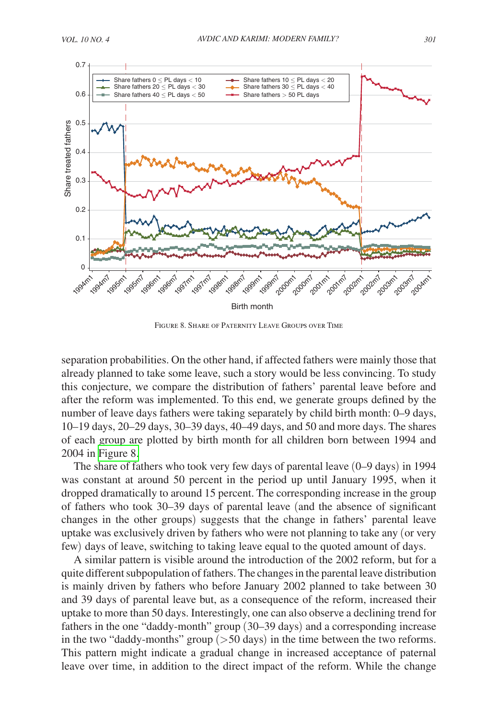

Figure 8. Share of Paternity Leave Groups over Time

separation probabilities. On the other hand, if affected fathers were mainly those that already planned to take some leave, such a story would be less convincing. To study this conjecture, we compare the distribution of fathers' parental leave before and after the reform was implemented. To this end, we generate groups defined by the number of leave days fathers were taking separately by child birth month: 0–9 days, 10–19 days, 20–29 days, 30–39 days, 40–49 days, and 50 and more days. The shares of each group are plotted by birth month for all children born between 1994 and 2004 in Figure 8.

The share of fathers who took very few days of parental leave (0–9 days) in 1994 was constant at around 50 percent in the period up until January 1995, when it dropped dramatically to around 15 percent. The corresponding increase in the group of fathers who took 30–39 days of parental leave (and the absence of significant changes in the other groups) suggests that the change in fathers' parental leave uptake was exclusively driven by fathers who were not planning to take any (or very few) days of leave, switching to taking leave equal to the quoted amount of days.

A similar pattern is visible around the introduction of the 2002 reform, but for a quite different subpopulation of fathers. The changes in the parental leave distribution is mainly driven by fathers who before January 2002 planned to take between 30 and 39 days of parental leave but, as a consequence of the reform, increased their uptake to more than 50 days. Interestingly, one can also observe a declining trend for fathers in the one "daddy-month" group (30–39 days) and a corresponding increase in the two "daddy-months" group (>50 days) in the time between the two reforms. This pattern might indicate a gradual change in increased acceptance of paternal leave over time, in addition to the direct impact of the reform. While the change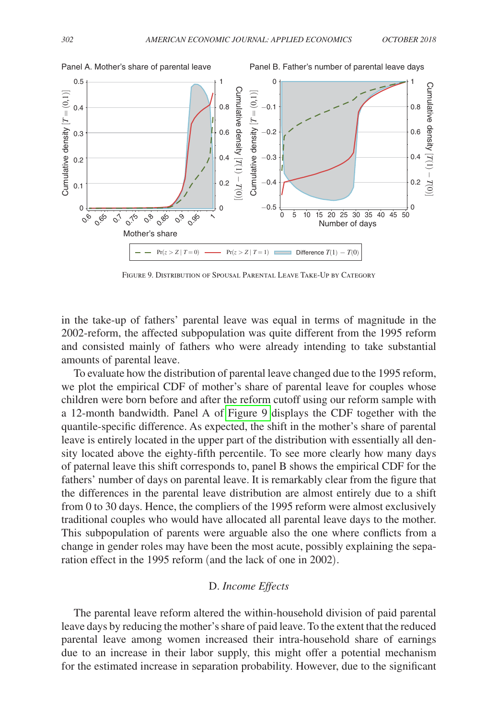

Figure 9. Distribution of Spousal Parental Leave Take-Up by Category

in the take-up of fathers' parental leave was equal in terms of magnitude in the 2002-reform, the affected subpopulation was quite different from the 1995 reform and consisted mainly of fathers who were already intending to take substantial amounts of parental leave.

To evaluate how the distribution of parental leave changed due to the 1995 reform, we plot the empirical CDF of mother's share of parental leave for couples whose children were born before and after the reform cutoff using our reform sample with a 12-month bandwidth. Panel A of Figure 9 displays the CDF together with the quantile-specific difference. As expected, the shift in the mother's share of parental leave is entirely located in the upper part of the distribution with essentially all density located above the eighty-fifth percentile. To see more clearly how many days of paternal leave this shift corresponds to, panel B shows the empirical CDF for the fathers' number of days on parental leave. It is remarkably clear from the figure that the differences in the parental leave distribution are almost entirely due to a shift from 0 to 30 days. Hence, the compliers of the 1995 reform were almost exclusively traditional couples who would have allocated all parental leave days to the mother. This subpopulation of parents were arguable also the one where conflicts from a change in gender roles may have been the most acute, possibly explaining the separation effect in the 1995 reform (and the lack of one in 2002).

# D. *Income Effects*

The parental leave reform altered the within-household division of paid parental leave days by reducing the mother's share of paid leave. To the extent that the reduced parental leave among women increased their intra-household share of earnings due to an increase in their labor supply, this might offer a potential mechanism for the estimated increase in separation probability. However, due to the significant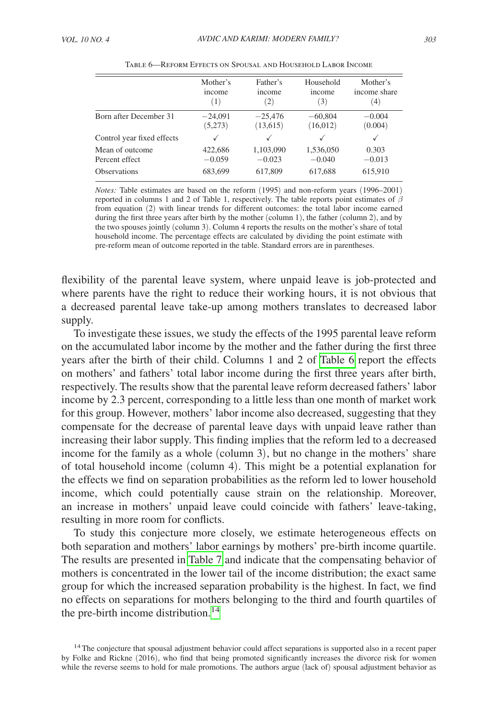|                            | Mother's  | Father's          | Household    | Mother's     |
|----------------------------|-----------|-------------------|--------------|--------------|
|                            | income    | income            | income       | income share |
|                            | (1)       | $\left( 2\right)$ | (3)          | (4)          |
| Born after December 31     | $-24,091$ | $-25,476$         | $-60,804$    | $-0.004$     |
|                            | (5,273)   | (13,615)          | (16,012)     | (0.004)      |
| Control year fixed effects | ✓         | $\checkmark$      | $\checkmark$ | ✓            |
| Mean of outcome            | 422,686   | 1,103,090         | 1,536,050    | 0.303        |
| Percent effect             | $-0.059$  | $-0.023$          | $-0.040$     | $-0.013$     |
| <b>Observations</b>        | 683.699   | 617,809           | 617,688      | 615,910      |

Table 6—Reform Effects on Spousal and Household Labor Income

*Notes:* Table estimates are based on the reform (1995) and non-reform years (1996–2001) reported in columns 1 and 2 of Table 1, respectively. The table reports point estimates of  $\beta$ from equation (2) with linear trends for different outcomes: the total labor income earned during the first three years after birth by the mother (column 1), the father (column 2), and by the two spouses jointly (column 3). Column 4 reports the results on the mother's share of total household income. The percentage effects are calculated by dividing the point estimate with pre-reform mean of outcome reported in the table. Standard errors are in parentheses.

flexibility of the parental leave system, where unpaid leave is job-protected and where parents have the right to reduce their working hours, it is not obvious that a decreased parental leave take-up among mothers translates to decreased labor supply.

To investigate these issues, we study the effects of the 1995 parental leave reform on the accumulated labor income by the mother and the father during the first three years after the birth of their child. Columns 1 and 2 of Table 6 report the effects on mothers' and fathers' total labor income during the first three years after birth, respectively. The results show that the parental leave reform decreased fathers' labor income by 2.3 percent, corresponding to a little less than one month of market work for this group. However, mothers' labor income also decreased, suggesting that they compensate for the decrease of parental leave days with unpaid leave rather than increasing their labor supply. This finding implies that the reform led to a decreased income for the family as a whole (column 3), but no change in the mothers' share of total household income (column 4). This might be a potential explanation for the effects we find on separation probabilities as the reform led to lower household income, which could potentially cause strain on the relationship. Moreover, an increase in mothers' unpaid leave could coincide with fathers' leave-taking, resulting in more room for conflicts.

To study this conjecture more closely, we estimate heterogeneous effects on both separation and mothers' labor earnings by mothers' pre-birth income quartile. The results are presented in [Table 7](#page-21-0) and indicate that the compensating behavior of mothers is concentrated in the lower tail of the income distribution; the exact same group for which the increased separation probability is the highest. In fact, we find no effects on separations for mothers belonging to the third and fourth quartiles of the pre-birth income distribution.<sup>[14](#page-20-0)</sup>

<span id="page-20-0"></span><sup>&</sup>lt;sup>14</sup>The conjecture that spousal adjustment behavior could affect separations is supported also in a recent paper by Folke and Rickne (2016), who find that being promoted significantly increases the divorce risk for women while the reverse seems to hold for male promotions. The authors argue (lack of) spousal adjustment behavior as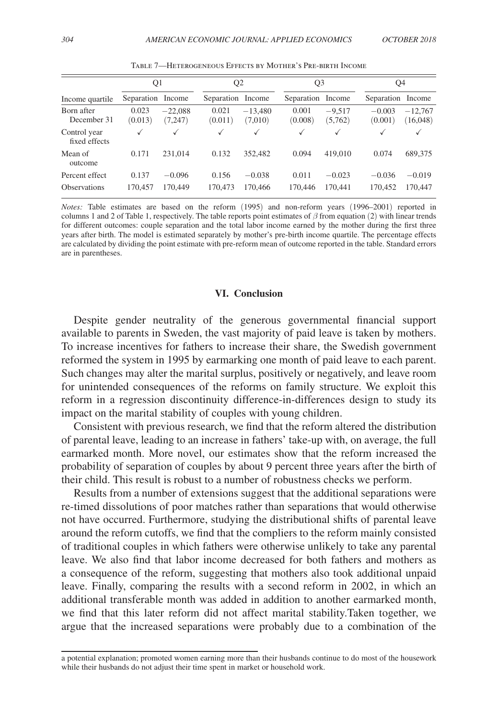<span id="page-21-0"></span>

|                                       | Q1               |                      |                  | Q <sub>2</sub>       | Q <sub>3</sub>   |                     | Q4                  |                       |
|---------------------------------------|------------------|----------------------|------------------|----------------------|------------------|---------------------|---------------------|-----------------------|
| Income quartile                       | Separation       | Income               | Separation       | Income               | Separation       | Income              | Separation          | Income                |
| Born after<br>December 31             | 0.023<br>(0.013) | $-22.088$<br>(7,247) | 0.021<br>(0.011) | $-13,480$<br>(7,010) | 0.001<br>(0.008) | $-9.517$<br>(5,762) | $-0.003$<br>(0.001) | $-12,767$<br>(16,048) |
| Control year<br>fixed effects         | √                | $\checkmark$         | ✓                | $\checkmark$         | $\checkmark$     | $\checkmark$        | ✓                   | $\checkmark$          |
| Mean of<br>outcome                    | 0.171            | 231.014              | 0.132            | 352.482              | 0.094            | 419,010             | 0.074               | 689,375               |
| Percent effect<br><b>Observations</b> | 0.137<br>170.457 | $-0.096$<br>170,449  | 0.156<br>170,473 | $-0.038$<br>170,466  | 0.011<br>170,446 | $-0.023$<br>170.441 | $-0.036$<br>170,452 | $-0.019$<br>170,447   |

Table 7—Heterogeneous Effects by Mother's Pre-birth Income

*Notes:* Table estimates are based on the reform (1995) and non-reform years (1996–2001) reported in columns 1 and 2 of Table 1, respectively. The table reports point estimates of  $\beta$  from equation (2) with linear trends for different outcomes: couple separation and the total labor income earned by the mother during the first three years after birth. The model is estimated separately by mother's pre-birth income quartile. The percentage effects are calculated by dividing the point estimate with pre-reform mean of outcome reported in the table. Standard errors are in parentheses.

# **VI. Conclusion**

Despite gender neutrality of the generous governmental financial support available to parents in Sweden, the vast majority of paid leave is taken by mothers. To increase incentives for fathers to increase their share, the Swedish government reformed the system in 1995 by earmarking one month of paid leave to each parent. Such changes may alter the marital surplus, positively or negatively, and leave room for unintended consequences of the reforms on family structure. We exploit this reform in a regression discontinuity difference-in-differences design to study its impact on the marital stability of couples with young children.

Consistent with previous research, we find that the reform altered the distribution of parental leave, leading to an increase in fathers' take-up with, on average, the full earmarked month. More novel, our estimates show that the reform increased the probability of separation of couples by about 9 percent three years after the birth of their child. This result is robust to a number of robustness checks we perform.

Results from a number of extensions suggest that the additional separations were re-timed dissolutions of poor matches rather than separations that would otherwise not have occurred. Furthermore, studying the distributional shifts of parental leave around the reform cutoffs, we find that the compliers to the reform mainly consisted of traditional couples in which fathers were otherwise unlikely to take any parental leave. We also find that labor income decreased for both fathers and mothers as a consequence of the reform, suggesting that mothers also took additional unpaid leave. Finally, comparing the results with a second reform in 2002, in which an additional transferable month was added in addition to another earmarked month, we find that this later reform did not affect marital stability.Taken together, we argue that the increased separations were probably due to a combination of the

a potential explanation; promoted women earning more than their husbands continue to do most of the housework while their husbands do not adjust their time spent in market or household work.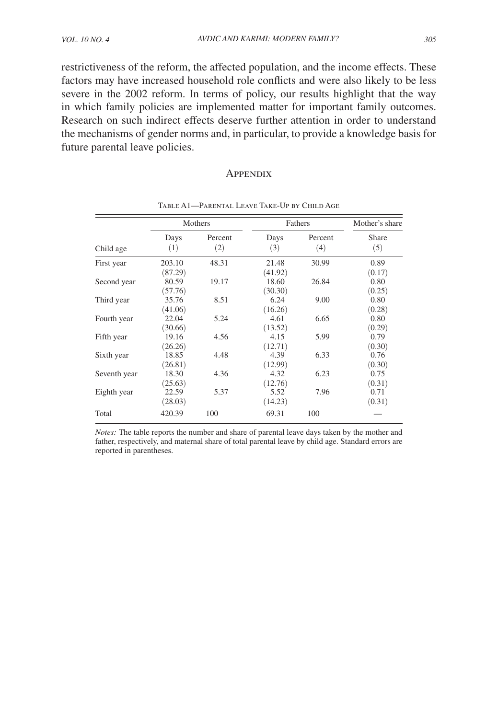restrictiveness of the reform, the affected population, and the income effects. These factors may have increased household role conflicts and were also likely to be less severe in the 2002 reform. In terms of policy, our results highlight that the way in which family policies are implemented matter for important family outcomes. Research on such indirect effects deserve further attention in order to understand the mechanisms of gender norms and, in particular, to provide a knowledge basis for future parental leave policies.

## **APPENDIX**

|              |                   | Mothers        | Fathers          | Mother's share |                |
|--------------|-------------------|----------------|------------------|----------------|----------------|
| Child age    | Days<br>(1)       | Percent<br>(2) | Days<br>(3)      | Percent<br>(4) | Share<br>(5)   |
| First year   | 203.10<br>(87.29) | 48.31          | 21.48<br>(41.92) | 30.99          | 0.89<br>(0.17) |
| Second year  | 80.59<br>(57.76)  | 19.17          | 18.60<br>(30.30) | 26.84          | 0.80<br>(0.25) |
| Third year   | 35.76<br>(41.06)  | 8.51           | 6.24<br>(16.26)  | 9.00           | 0.80<br>(0.28) |
| Fourth year  | 22.04<br>(30.66)  | 5.24           | 4.61<br>(13.52)  | 6.65           | 0.80<br>(0.29) |
| Fifth year   | 19.16<br>(26.26)  | 4.56           | 4.15<br>(12.71)  | 5.99           | 0.79<br>(0.30) |
| Sixth year   | 18.85<br>(26.81)  | 4.48           | 4.39<br>(12.99)  | 6.33           | 0.76<br>(0.30) |
| Seventh year | 18.30<br>(25.63)  | 4.36           | 4.32<br>(12.76)  | 6.23           | 0.75<br>(0.31) |
| Eighth year  | 22.59<br>(28.03)  | 5.37           | 5.52<br>(14.23)  | 7.96           | 0.71<br>(0.31) |
| Total        | 420.39            | 100            | 69.31            | 100            |                |

Table A1—Parental Leave Take-Up by Child Age

*Notes:* The table reports the number and share of parental leave days taken by the mother and father, respectively, and maternal share of total parental leave by child age. Standard errors are reported in parentheses.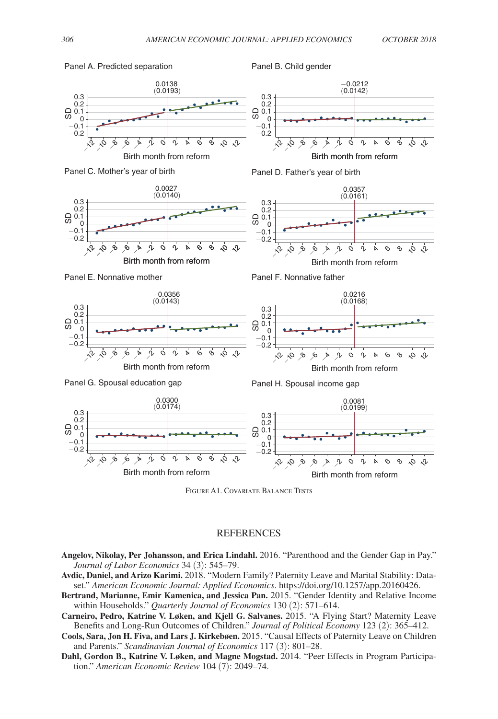

Figure A1. Covariate Balance Tests

#### **REFERENCES**

- **Angelov, Nikolay, Per Johansson, and Erica Lindahl.** 2016. "Parenthood and the Gender Gap in Pay." *Journal of Labor Economics* 34 (3): 545–79.
- **Avdic, Daniel, and Arizo Karimi.** 2018. "Modern Family? Paternity Leave and Marital Stability: Dataset." *American Economic Journal: Applied Economics*.<https://doi.org/10.1257/app.20160426.>
- **Bertrand, Marianne, Emir Kamenica, and Jessica Pan.** 2015. "Gender Identity and Relative Income within Households." *Quarterly Journal of Economics* 130 (2): 571–614.
- **Carneiro, Pedro, Katrine V. Løken, and Kjell G. Salvanes.** 2015. "A Flying Start? Maternity Leave Benefits and Long-Run Outcomes of Children." *Journal of Political Economy* 123 (2): 365–412.
- **Cools, Sara, Jon H. Fiva, and Lars J. Kirkebøen.** 2015. "Causal Effects of Paternity Leave on Children and Parents." *Scandinavian Journal of Economics* 117 (3): 801–28.
- **Dahl, Gordon B., Katrine V. Løken, and Magne Mogstad.** 2014. "Peer Effects in Program Participation." *American Economic Review* 104 (7): 2049–74.